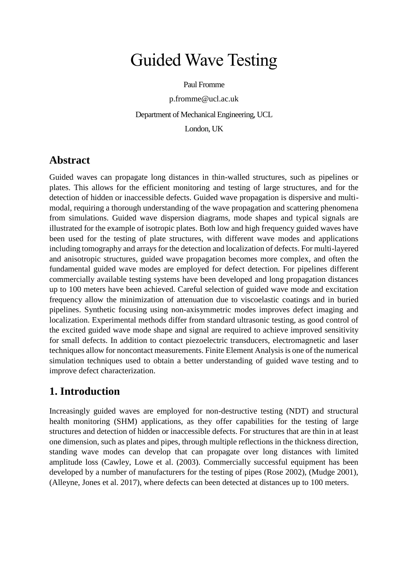# Guided Wave Testing

Paul Fromme

p.fromme@ucl.ac.uk Department of Mechanical Engineering, UCL London, UK

### **Abstract**

Guided waves can propagate long distances in thin-walled structures, such as pipelines or plates. This allows for the efficient monitoring and testing of large structures, and for the detection of hidden or inaccessible defects. Guided wave propagation is dispersive and multimodal, requiring a thorough understanding of the wave propagation and scattering phenomena from simulations. Guided wave dispersion diagrams, mode shapes and typical signals are illustrated for the example of isotropic plates. Both low and high frequency guided waves have been used for the testing of plate structures, with different wave modes and applications including tomography and arrays for the detection and localization of defects. For multi-layered and anisotropic structures, guided wave propagation becomes more complex, and often the fundamental guided wave modes are employed for defect detection. For pipelines different commercially available testing systems have been developed and long propagation distances up to 100 meters have been achieved. Careful selection of guided wave mode and excitation frequency allow the minimization of attenuation due to viscoelastic coatings and in buried pipelines. Synthetic focusing using non-axisymmetric modes improves defect imaging and localization. Experimental methods differ from standard ultrasonic testing, as good control of the excited guided wave mode shape and signal are required to achieve improved sensitivity for small defects. In addition to contact piezoelectric transducers, electromagnetic and laser techniques allow for noncontact measurements. Finite Element Analysis is one of the numerical simulation techniques used to obtain a better understanding of guided wave testing and to improve defect characterization.

## **1. Introduction**

Increasingly guided waves are employed for non-destructive testing (NDT) and structural health monitoring (SHM) applications, as they offer capabilities for the testing of large structures and detection of hidden or inaccessible defects. For structures that are thin in at least one dimension, such as plates and pipes, through multiple reflections in the thickness direction, standing wave modes can develop that can propagate over long distances with limited amplitude loss (Cawley, Lowe et al. (2003). Commercially successful equipment has been developed by a number of manufacturers for the testing of pipes (Rose 2002), (Mudge 2001), (Alleyne, Jones et al. 2017), where defects can been detected at distances up to 100 meters.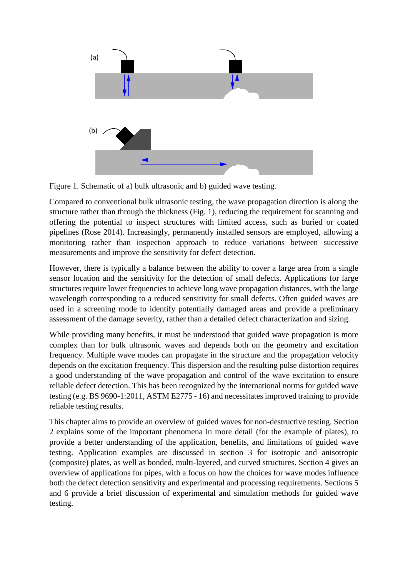



Compared to conventional bulk ultrasonic testing, the wave propagation direction is along the structure rather than through the thickness (Fig. 1), reducing the requirement for scanning and offering the potential to inspect structures with limited access, such as buried or coated pipelines (Rose 2014). Increasingly, permanently installed sensors are employed, allowing a monitoring rather than inspection approach to reduce variations between successive measurements and improve the sensitivity for defect detection.

However, there is typically a balance between the ability to cover a large area from a single sensor location and the sensitivity for the detection of small defects. Applications for large structures require lower frequencies to achieve long wave propagation distances, with the large wavelength corresponding to a reduced sensitivity for small defects. Often guided waves are used in a screening mode to identify potentially damaged areas and provide a preliminary assessment of the damage severity, rather than a detailed defect characterization and sizing.

While providing many benefits, it must be understood that guided wave propagation is more complex than for bulk ultrasonic waves and depends both on the geometry and excitation frequency. Multiple wave modes can propagate in the structure and the propagation velocity depends on the excitation frequency. This dispersion and the resulting pulse distortion requires a good understanding of the wave propagation and control of the wave excitation to ensure reliable defect detection. This has been recognized by the international norms for guided wave testing (e.g. BS 9690-1:2011, ASTM E2775 - 16) and necessitates improved training to provide reliable testing results.

This chapter aims to provide an overview of guided waves for non-destructive testing. Section 2 explains some of the important phenomena in more detail (for the example of plates), to provide a better understanding of the application, benefits, and limitations of guided wave testing. Application examples are discussed in section 3 for isotropic and anisotropic (composite) plates, as well as bonded, multi-layered, and curved structures. Section 4 gives an overview of applications for pipes, with a focus on how the choices for wave modes influence both the defect detection sensitivity and experimental and processing requirements. Sections 5 and 6 provide a brief discussion of experimental and simulation methods for guided wave testing.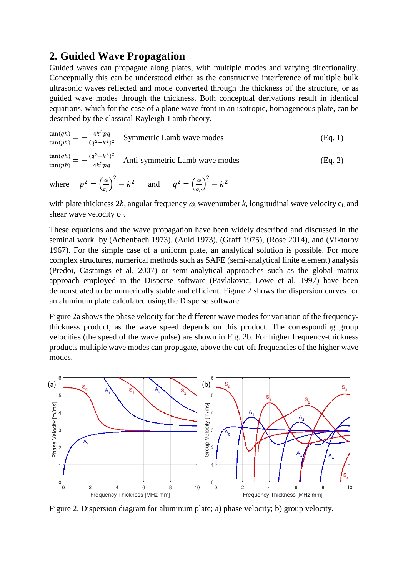### **2. Guided Wave Propagation**

Guided waves can propagate along plates, with multiple modes and varying directionality. Conceptually this can be understood either as the constructive interference of multiple bulk ultrasonic waves reflected and mode converted through the thickness of the structure, or as guided wave modes through the thickness. Both conceptual derivations result in identical equations, which for the case of a plane wave front in an isotropic, homogeneous plate, can be described by the classical Rayleigh-Lamb theory.

$$
\frac{\tan(qh)}{\tan(ph)} = -\frac{4k^2pq}{(q^2 - k^2)^2}
$$
 Symmetric Lamb wave modes (Eq. 1)  

$$
\frac{\tan(qh)}{\tan(ph)} = -\frac{(q^2 - k^2)^2}{4k^2pq}
$$
 Anti-symmetric Lamb wave modes (Eq. 2)  
where  $p^2 = \left(\frac{\omega}{c_L}\right)^2 - k^2$  and  $q^2 = \left(\frac{\omega}{c_T}\right)^2 - k^2$ 

with plate thickness  $2h$ , angular frequency  $\omega$ , wavenumber k, longitudinal wave velocity  $c<sub>L</sub>$  and shear wave velocity  $c_T$ .

These equations and the wave propagation have been widely described and discussed in the seminal work by (Achenbach 1973), (Auld 1973), (Graff 1975), (Rose 2014), and (Viktorov 1967). For the simple case of a uniform plate, an analytical solution is possible. For more complex structures, numerical methods such as SAFE (semi-analytical finite element) analysis (Predoi, Castaings et al. 2007) or semi-analytical approaches such as the global matrix approach employed in the Disperse software (Pavlakovic, Lowe et al. 1997) have been demonstrated to be numerically stable and efficient. Figure 2 shows the dispersion curves for an aluminum plate calculated using the Disperse software.

Figure 2a shows the phase velocity for the different wave modes for variation of the frequencythickness product, as the wave speed depends on this product. The corresponding group velocities (the speed of the wave pulse) are shown in Fig. 2b. For higher frequency-thickness products multiple wave modes can propagate, above the cut-off frequencies of the higher wave modes.



Figure 2. Dispersion diagram for aluminum plate; a) phase velocity; b) group velocity.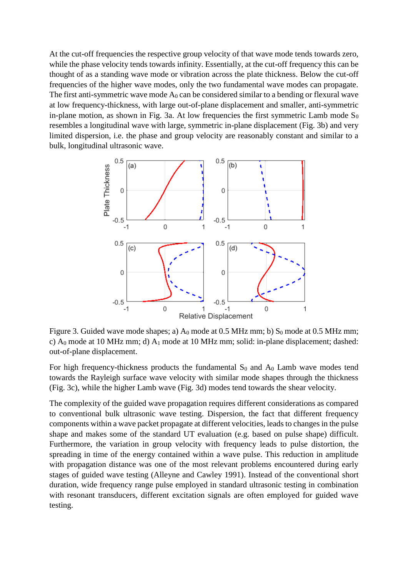At the cut-off frequencies the respective group velocity of that wave mode tends towards zero, while the phase velocity tends towards infinity. Essentially, at the cut-off frequency this can be thought of as a standing wave mode or vibration across the plate thickness. Below the cut-off frequencies of the higher wave modes, only the two fundamental wave modes can propagate. The first anti-symmetric wave mode  $A_0$  can be considered similar to a bending or flexural wave at low frequency-thickness, with large out-of-plane displacement and smaller, anti-symmetric in-plane motion, as shown in Fig. 3a. At low frequencies the first symmetric Lamb mode  $S_0$ resembles a longitudinal wave with large, symmetric in-plane displacement (Fig. 3b) and very limited dispersion, i.e. the phase and group velocity are reasonably constant and similar to a bulk, longitudinal ultrasonic wave.



Figure 3. Guided wave mode shapes; a)  $A_0$  mode at 0.5 MHz mm; b)  $S_0$  mode at 0.5 MHz mm; c)  $A_0$  mode at 10 MHz mm; d)  $A_1$  mode at 10 MHz mm; solid: in-plane displacement; dashed: out-of-plane displacement.

For high frequency-thickness products the fundamental  $S_0$  and  $A_0$  Lamb wave modes tend towards the Rayleigh surface wave velocity with similar mode shapes through the thickness (Fig. 3c), while the higher Lamb wave (Fig. 3d) modes tend towards the shear velocity.

The complexity of the guided wave propagation requires different considerations as compared to conventional bulk ultrasonic wave testing. Dispersion, the fact that different frequency components within a wave packet propagate at different velocities, leads to changes in the pulse shape and makes some of the standard UT evaluation (e.g. based on pulse shape) difficult. Furthermore, the variation in group velocity with frequency leads to pulse distortion, the spreading in time of the energy contained within a wave pulse. This reduction in amplitude with propagation distance was one of the most relevant problems encountered during early stages of guided wave testing (Alleyne and Cawley 1991). Instead of the conventional short duration, wide frequency range pulse employed in standard ultrasonic testing in combination with resonant transducers, different excitation signals are often employed for guided wave testing.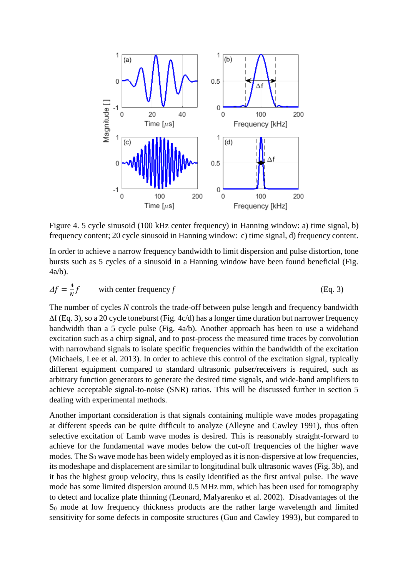

Figure 4. 5 cycle sinusoid (100 kHz center frequency) in Hanning window: a) time signal, b) frequency content; 20 cycle sinusoid in Hanning window: c) time signal, d) frequency content.

In order to achieve a narrow frequency bandwidth to limit dispersion and pulse distortion, tone bursts such as 5 cycles of a sinusoid in a Hanning window have been found beneficial (Fig. 4a/b).

$$
\Delta f = \frac{4}{N} f \qquad \text{with center frequency } f \tag{Eq. 3}
$$

The number of cycles *N* controls the trade-off between pulse length and frequency bandwidth  $\Delta f$  (Eq. 3), so a 20 cycle toneburst (Fig. 4c/d) has a longer time duration but narrower frequency bandwidth than a 5 cycle pulse (Fig. 4a/b). Another approach has been to use a wideband excitation such as a chirp signal, and to post-process the measured time traces by convolution with narrowband signals to isolate specific frequencies within the bandwidth of the excitation (Michaels, Lee et al. 2013). In order to achieve this control of the excitation signal, typically different equipment compared to standard ultrasonic pulser/receivers is required, such as arbitrary function generators to generate the desired time signals, and wide-band amplifiers to achieve acceptable signal-to-noise (SNR) ratios. This will be discussed further in section 5 dealing with experimental methods.

Another important consideration is that signals containing multiple wave modes propagating at different speeds can be quite difficult to analyze (Alleyne and Cawley 1991), thus often selective excitation of Lamb wave modes is desired. This is reasonably straight-forward to achieve for the fundamental wave modes below the cut-off frequencies of the higher wave modes. The  $S_0$  wave mode has been widely employed as it is non-dispersive at low frequencies, its modeshape and displacement are similar to longitudinal bulk ultrasonic waves (Fig. 3b), and it has the highest group velocity, thus is easily identified as the first arrival pulse. The wave mode has some limited dispersion around 0.5 MHz mm, which has been used for tomography to detect and localize plate thinning (Leonard, Malyarenko et al. 2002). Disadvantages of the S<sup>0</sup> mode at low frequency thickness products are the rather large wavelength and limited sensitivity for some defects in composite structures (Guo and Cawley 1993), but compared to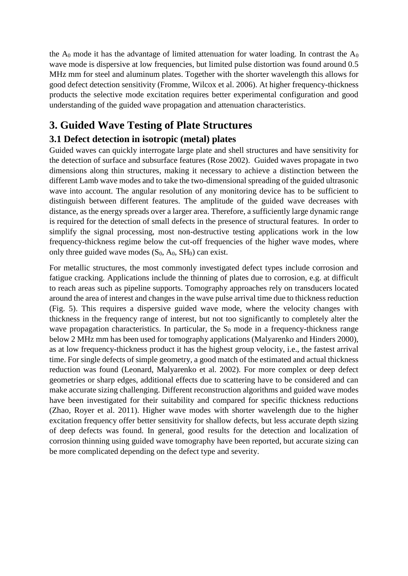the  $A_0$  mode it has the advantage of limited attenuation for water loading. In contrast the  $A_0$ wave mode is dispersive at low frequencies, but limited pulse distortion was found around 0.5 MHz mm for steel and aluminum plates. Together with the shorter wavelength this allows for good defect detection sensitivity (Fromme, Wilcox et al. 2006). At higher frequency-thickness products the selective mode excitation requires better experimental configuration and good understanding of the guided wave propagation and attenuation characteristics.

# **3. Guided Wave Testing of Plate Structures**

### **3.1 Defect detection in isotropic (metal) plates**

Guided waves can quickly interrogate large plate and shell structures and have sensitivity for the detection of surface and subsurface features (Rose 2002). Guided waves propagate in two dimensions along thin structures, making it necessary to achieve a distinction between the different Lamb wave modes and to take the two-dimensional spreading of the guided ultrasonic wave into account. The angular resolution of any monitoring device has to be sufficient to distinguish between different features. The amplitude of the guided wave decreases with distance, as the energy spreads over a larger area. Therefore, a sufficiently large dynamic range is required for the detection of small defects in the presence of structural features. In order to simplify the signal processing, most non-destructive testing applications work in the low frequency-thickness regime below the cut-off frequencies of the higher wave modes, where only three guided wave modes  $(S_0, A_0, SH_0)$  can exist.

For metallic structures, the most commonly investigated defect types include corrosion and fatigue cracking. Applications include the thinning of plates due to corrosion, e.g. at difficult to reach areas such as pipeline supports. Tomography approaches rely on transducers located around the area of interest and changes in the wave pulse arrival time due to thickness reduction (Fig. 5). This requires a dispersive guided wave mode, where the velocity changes with thickness in the frequency range of interest, but not too significantly to completely alter the wave propagation characteristics. In particular, the  $S_0$  mode in a frequency-thickness range below 2 MHz mm has been used for tomography applications (Malyarenko and Hinders 2000), as at low frequency-thickness product it has the highest group velocity, i.e., the fastest arrival time. For single defects of simple geometry, a good match of the estimated and actual thickness reduction was found (Leonard, Malyarenko et al. 2002). For more complex or deep defect geometries or sharp edges, additional effects due to scattering have to be considered and can make accurate sizing challenging. Different reconstruction algorithms and guided wave modes have been investigated for their suitability and compared for specific thickness reductions (Zhao, Royer et al. 2011). Higher wave modes with shorter wavelength due to the higher excitation frequency offer better sensitivity for shallow defects, but less accurate depth sizing of deep defects was found. In general, good results for the detection and localization of corrosion thinning using guided wave tomography have been reported, but accurate sizing can be more complicated depending on the defect type and severity.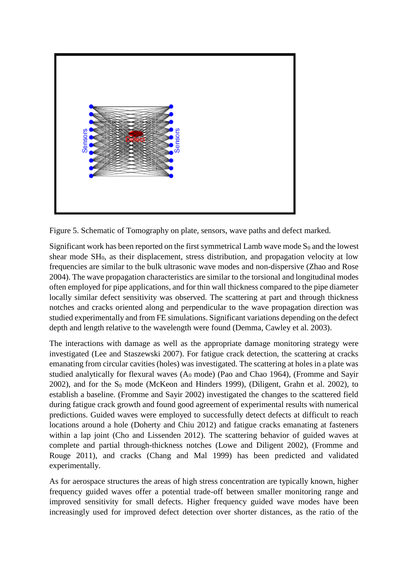

Figure 5. Schematic of Tomography on plate, sensors, wave paths and defect marked.

Significant work has been reported on the first symmetrical Lamb wave mode  $S_0$  and the lowest shear mode SH0, as their displacement, stress distribution, and propagation velocity at low frequencies are similar to the bulk ultrasonic wave modes and non-dispersive (Zhao and Rose 2004). The wave propagation characteristics are similar to the torsional and longitudinal modes often employed for pipe applications, and for thin wall thickness compared to the pipe diameter locally similar defect sensitivity was observed. The scattering at part and through thickness notches and cracks oriented along and perpendicular to the wave propagation direction was studied experimentally and from FE simulations. Significant variations depending on the defect depth and length relative to the wavelength were found (Demma, Cawley et al. 2003).

The interactions with damage as well as the appropriate damage monitoring strategy were investigated (Lee and Staszewski 2007). For fatigue crack detection, the scattering at cracks emanating from circular cavities (holes) was investigated. The scattering at holes in a plate was studied analytically for flexural waves  $(A<sub>0</sub>$  mode) (Pao and Chao 1964), (Fromme and Sayir  $2002$ ), and for the S<sub>0</sub> mode (McKeon and Hinders 1999), (Diligent, Grahn et al. 2002), to establish a baseline. (Fromme and Sayir 2002) investigated the changes to the scattered field during fatigue crack growth and found good agreement of experimental results with numerical predictions. Guided waves were employed to successfully detect defects at difficult to reach locations around a hole (Doherty and Chiu 2012) and fatigue cracks emanating at fasteners within a lap joint (Cho and Lissenden 2012). The scattering behavior of guided waves at complete and partial through-thickness notches (Lowe and Diligent 2002), (Fromme and Rouge 2011), and cracks (Chang and Mal 1999) has been predicted and validated experimentally.

As for aerospace structures the areas of high stress concentration are typically known, higher frequency guided waves offer a potential trade-off between smaller monitoring range and improved sensitivity for small defects. Higher frequency guided wave modes have been increasingly used for improved defect detection over shorter distances, as the ratio of the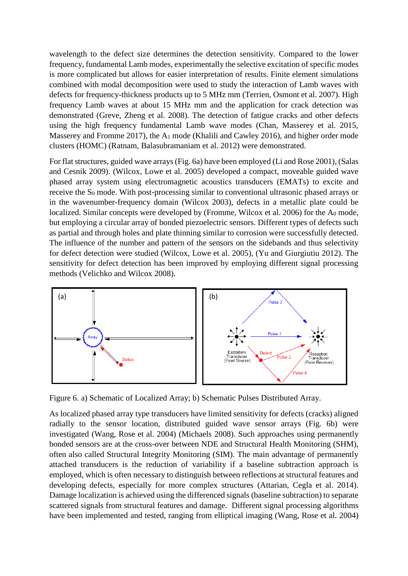wavelength to the defect size determines the detection sensitivity. Compared to the lower frequency, fundamental Lamb modes, experimentally the selective excitation of specific modes is more complicated but allows for easier interpretation of results. Finite element simulations combined with modal decomposition were used to study the interaction of Lamb waves with defects for frequency-thickness products up to 5 MHz mm (Terrien, Osmont et al. 2007). High frequency Lamb waves at about 15 MHz mm and the application for crack detection was demonstrated (Greve, Zheng et al. 2008). The detection of fatigue cracks and other defects using the high frequency fundamental Lamb wave modes (Chan, Masserey et al. 2015, Masserey and Fromme 2017), the  $A_1$  mode (Khalili and Cawley 2016), and higher order mode clusters (HOMC) (Ratnam, Balasubramaniam et al. 2012) were demonstrated.

For flat structures, guided wave arrays (Fig. 6a) have been employed (Li and Rose 2001), (Salas and Cesnik 2009). (Wilcox, Lowe et al. 2005) developed a compact, moveable guided wave phased array system using electromagnetic acoustics transducers (EMATs) to excite and receive the  $S_0$  mode. With post-processing similar to conventional ultrasonic phased arrays or in the wavenumber-frequency domain (Wilcox 2003), defects in a metallic plate could be localized. Similar concepts were developed by (Fromme, Wilcox et al. 2006) for the  $A_0$  mode, but employing a circular array of bonded piezoelectric sensors. Different types of defects such as partial and through holes and plate thinning similar to corrosion were successfully detected. The influence of the number and pattern of the sensors on the sidebands and thus selectivity for defect detection were studied (Wilcox, Lowe et al. 2005), (Yu and Giurgiutiu 2012). The sensitivity for defect detection has been improved by employing different signal processing methods (Velichko and Wilcox 2008).



Figure 6. a) Schematic of Localized Array; b) Schematic Pulses Distributed Array.

As localized phased array type transducers have limited sensitivity for defects (cracks) aligned radially to the sensor location, distributed guided wave sensor arrays (Fig. 6b) were investigated (Wang, Rose et al. 2004) (Michaels 2008). Such approaches using permanently bonded sensors are at the cross-over between NDE and Structural Health Monitoring (SHM), often also called Structural Integrity Monitoring (SIM). The main advantage of permanently attached transducers is the reduction of variability if a baseline subtraction approach is employed, which is often necessary to distinguish between reflections at structural features and developing defects, especially for more complex structures (Attarian, Cegla et al. 2014). Damage localization is achieved using the differenced signals (baseline subtraction) to separate scattered signals from structural features and damage. Different signal processing algorithms have been implemented and tested, ranging from elliptical imaging (Wang, Rose et al. 2004)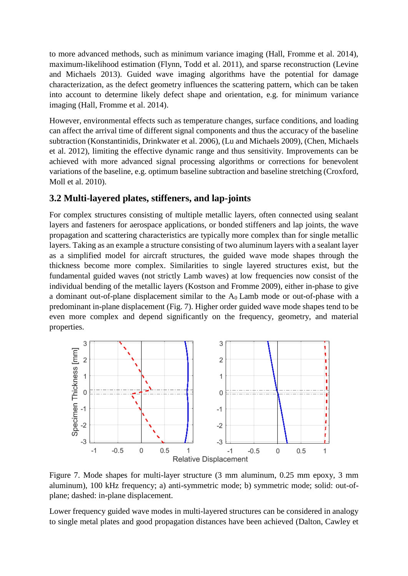to more advanced methods, such as minimum variance imaging (Hall, Fromme et al. 2014), maximum-likelihood estimation (Flynn, Todd et al. 2011), and sparse reconstruction (Levine and Michaels 2013). Guided wave imaging algorithms have the potential for damage characterization, as the defect geometry influences the scattering pattern, which can be taken into account to determine likely defect shape and orientation, e.g. for minimum variance imaging (Hall, Fromme et al. 2014).

However, environmental effects such as temperature changes, surface conditions, and loading can affect the arrival time of different signal components and thus the accuracy of the baseline subtraction (Konstantinidis, Drinkwater et al. 2006), (Lu and Michaels 2009), (Chen, Michaels et al. 2012), limiting the effective dynamic range and thus sensitivity. Improvements can be achieved with more advanced signal processing algorithms or corrections for benevolent variations of the baseline, e.g. optimum baseline subtraction and baseline stretching (Croxford, Moll et al. 2010).

### **3.2 Multi-layered plates, stiffeners, and lap-joints**

For complex structures consisting of multiple metallic layers, often connected using sealant layers and fasteners for aerospace applications, or bonded stiffeners and lap joints, the wave propagation and scattering characteristics are typically more complex than for single metallic layers. Taking as an example a structure consisting of two aluminum layers with a sealant layer as a simplified model for aircraft structures, the guided wave mode shapes through the thickness become more complex. Similarities to single layered structures exist, but the fundamental guided waves (not strictly Lamb waves) at low frequencies now consist of the individual bending of the metallic layers (Kostson and Fromme 2009), either in-phase to give a dominant out-of-plane displacement similar to the  $A_0$  Lamb mode or out-of-phase with a predominant in-plane displacement (Fig. 7). Higher order guided wave mode shapes tend to be even more complex and depend significantly on the frequency, geometry, and material properties.



Figure 7. Mode shapes for multi-layer structure (3 mm aluminum, 0.25 mm epoxy, 3 mm aluminum), 100 kHz frequency; a) anti-symmetric mode; b) symmetric mode; solid: out-ofplane; dashed: in-plane displacement.

Lower frequency guided wave modes in multi-layered structures can be considered in analogy to single metal plates and good propagation distances have been achieved (Dalton, Cawley et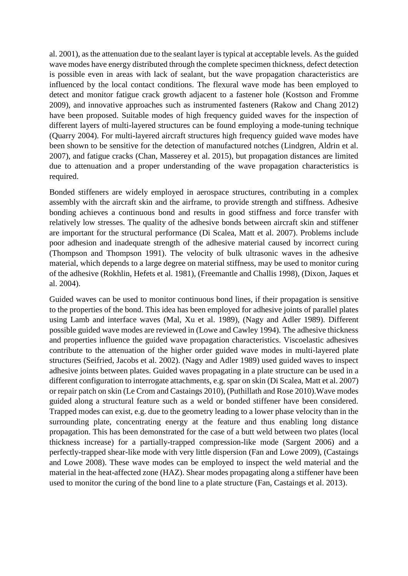al. 2001), as the attenuation due to the sealant layer is typical at acceptable levels. As the guided wave modes have energy distributed through the complete specimen thickness, defect detection is possible even in areas with lack of sealant, but the wave propagation characteristics are influenced by the local contact conditions. The flexural wave mode has been employed to detect and monitor fatigue crack growth adjacent to a fastener hole (Kostson and Fromme 2009), and innovative approaches such as instrumented fasteners (Rakow and Chang 2012) have been proposed. Suitable modes of high frequency guided waves for the inspection of different layers of multi-layered structures can be found employing a mode-tuning technique (Quarry 2004). For multi-layered aircraft structures high frequency guided wave modes have been shown to be sensitive for the detection of manufactured notches (Lindgren, Aldrin et al. 2007), and fatigue cracks (Chan, Masserey et al. 2015), but propagation distances are limited due to attenuation and a proper understanding of the wave propagation characteristics is required.

Bonded stiffeners are widely employed in aerospace structures, contributing in a complex assembly with the aircraft skin and the airframe, to provide strength and stiffness. Adhesive bonding achieves a continuous bond and results in good stiffness and force transfer with relatively low stresses. The quality of the adhesive bonds between aircraft skin and stiffener are important for the structural performance (Di Scalea, Matt et al. 2007). Problems include poor adhesion and inadequate strength of the adhesive material caused by incorrect curing (Thompson and Thompson 1991). The velocity of bulk ultrasonic waves in the adhesive material, which depends to a large degree on material stiffness, may be used to monitor curing of the adhesive (Rokhlin, Hefets et al. 1981), (Freemantle and Challis 1998), (Dixon, Jaques et al. 2004).

Guided waves can be used to monitor continuous bond lines, if their propagation is sensitive to the properties of the bond. This idea has been employed for adhesive joints of parallel plates using Lamb and interface waves (Mal, Xu et al. 1989), (Nagy and Adler 1989). Different possible guided wave modes are reviewed in (Lowe and Cawley 1994). The adhesive thickness and properties influence the guided wave propagation characteristics. Viscoelastic adhesives contribute to the attenuation of the higher order guided wave modes in multi-layered plate structures (Seifried, Jacobs et al. 2002). (Nagy and Adler 1989) used guided waves to inspect adhesive joints between plates. Guided waves propagating in a plate structure can be used in a different configuration to interrogate attachments, e.g. spar on skin (Di Scalea, Matt et al. 2007) or repair patch on skin (Le Crom and Castaings 2010), (Puthillath and Rose 2010).Wave modes guided along a structural feature such as a weld or bonded stiffener have been considered. Trapped modes can exist, e.g. due to the geometry leading to a lower phase velocity than in the surrounding plate, concentrating energy at the feature and thus enabling long distance propagation. This has been demonstrated for the case of a butt weld between two plates (local thickness increase) for a partially-trapped compression-like mode (Sargent 2006) and a perfectly-trapped shear-like mode with very little dispersion (Fan and Lowe 2009), (Castaings and Lowe 2008). These wave modes can be employed to inspect the weld material and the material in the heat-affected zone (HAZ). Shear modes propagating along a stiffener have been used to monitor the curing of the bond line to a plate structure (Fan, Castaings et al. 2013).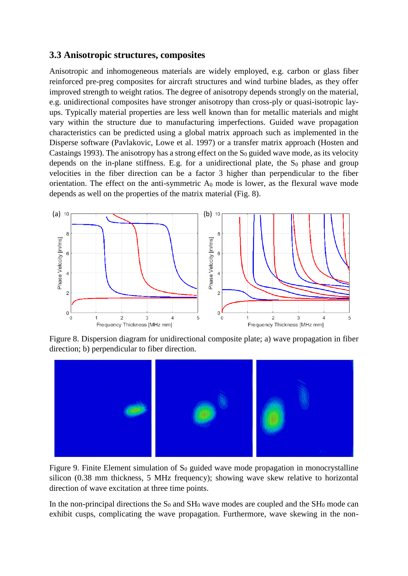#### **3.3 Anisotropic structures, composites**

Anisotropic and inhomogeneous materials are widely employed, e.g. carbon or glass fiber reinforced pre-preg composites for aircraft structures and wind turbine blades, as they offer improved strength to weight ratios. The degree of anisotropy depends strongly on the material, e.g. unidirectional composites have stronger anisotropy than cross-ply or quasi-isotropic layups. Typically material properties are less well known than for metallic materials and might vary within the structure due to manufacturing imperfections. Guided wave propagation characteristics can be predicted using a global matrix approach such as implemented in the Disperse software (Pavlakovic, Lowe et al. 1997) or a transfer matrix approach (Hosten and Castaings 1993). The anisotropy has a strong effect on the  $S_0$  guided wave mode, as its velocity depends on the in-plane stiffness. E.g. for a unidirectional plate, the  $S_0$  phase and group velocities in the fiber direction can be a factor 3 higher than perpendicular to the fiber orientation. The effect on the anti-symmetric  $A_0$  mode is lower, as the flexural wave mode depends as well on the properties of the matrix material (Fig. 8).



Figure 8. Dispersion diagram for unidirectional composite plate; a) wave propagation in fiber direction; b) perpendicular to fiber direction.



Figure 9. Finite Element simulation of  $S_0$  guided wave mode propagation in monocrystalline silicon (0.38 mm thickness, 5 MHz frequency); showing wave skew relative to horizontal direction of wave excitation at three time points.

In the non-principal directions the  $S_0$  and  $SH_0$  wave modes are coupled and the  $SH_0$  mode can exhibit cusps, complicating the wave propagation. Furthermore, wave skewing in the non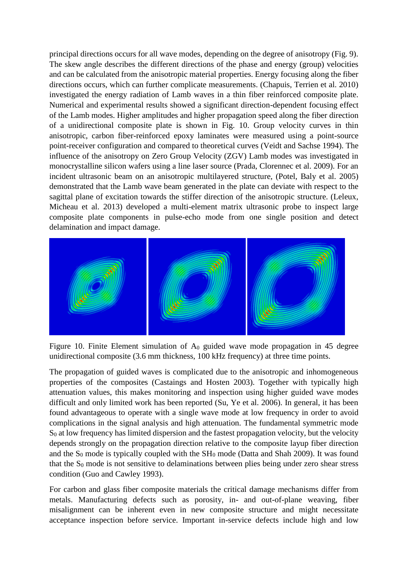principal directions occurs for all wave modes, depending on the degree of anisotropy (Fig. 9). The skew angle describes the different directions of the phase and energy (group) velocities and can be calculated from the anisotropic material properties. Energy focusing along the fiber directions occurs, which can further complicate measurements. (Chapuis, Terrien et al. 2010) investigated the energy radiation of Lamb waves in a thin fiber reinforced composite plate. Numerical and experimental results showed a significant direction-dependent focusing effect of the Lamb modes. Higher amplitudes and higher propagation speed along the fiber direction of a unidirectional composite plate is shown in Fig. 10. Group velocity curves in thin anisotropic, carbon fiber-reinforced epoxy laminates were measured using a point-source point-receiver configuration and compared to theoretical curves (Veidt and Sachse 1994). The influence of the anisotropy on Zero Group Velocity (ZGV) Lamb modes was investigated in monocrystalline silicon wafers using a line laser source (Prada, Clorennec et al. 2009). For an incident ultrasonic beam on an anisotropic multilayered structure, (Potel, Baly et al. 2005) demonstrated that the Lamb wave beam generated in the plate can deviate with respect to the sagittal plane of excitation towards the stiffer direction of the anisotropic structure. (Leleux, Micheau et al. 2013) developed a multi-element matrix ultrasonic probe to inspect large composite plate components in pulse-echo mode from one single position and detect delamination and impact damage.



Figure 10. Finite Element simulation of  $A_0$  guided wave mode propagation in 45 degree unidirectional composite (3.6 mm thickness, 100 kHz frequency) at three time points.

The propagation of guided waves is complicated due to the anisotropic and inhomogeneous properties of the composites (Castaings and Hosten 2003). Together with typically high attenuation values, this makes monitoring and inspection using higher guided wave modes difficult and only limited work has been reported (Su, Ye et al. 2006). In general, it has been found advantageous to operate with a single wave mode at low frequency in order to avoid complications in the signal analysis and high attenuation. The fundamental symmetric mode  $S<sub>0</sub>$  at low frequency has limited dispersion and the fastest propagation velocity, but the velocity depends strongly on the propagation direction relative to the composite layup fiber direction and the  $S_0$  mode is typically coupled with the  $SH_0$  mode (Datta and Shah 2009). It was found that the  $S_0$  mode is not sensitive to delaminations between plies being under zero shear stress condition (Guo and Cawley 1993).

For carbon and glass fiber composite materials the critical damage mechanisms differ from metals. Manufacturing defects such as porosity, in- and out-of-plane weaving, fiber misalignment can be inherent even in new composite structure and might necessitate acceptance inspection before service. Important in-service defects include high and low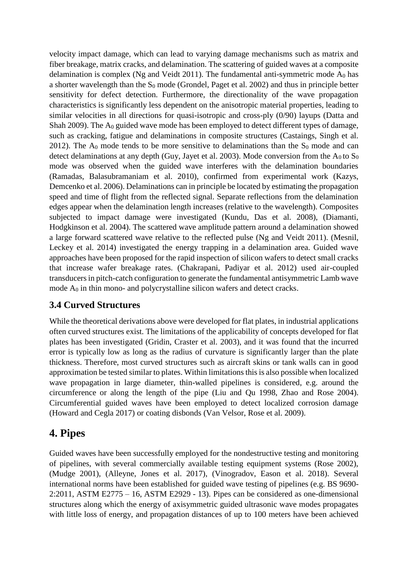velocity impact damage, which can lead to varying damage mechanisms such as matrix and fiber breakage, matrix cracks, and delamination. The scattering of guided waves at a composite delamination is complex (Ng and Veidt 2011). The fundamental anti-symmetric mode  $A_0$  has a shorter wavelength than the  $S_0$  mode (Grondel, Paget et al. 2002) and thus in principle better sensitivity for defect detection. Furthermore, the directionality of the wave propagation characteristics is significantly less dependent on the anisotropic material properties, leading to similar velocities in all directions for quasi-isotropic and cross-ply (0/90) layups (Datta and Shah 2009). The  $A_0$  guided wave mode has been employed to detect different types of damage, such as cracking, fatigue and delaminations in composite structures (Castaings, Singh et al. 2012). The  $A_0$  mode tends to be more sensitive to delaminations than the  $S_0$  mode and can detect delaminations at any depth (Guy, Jayet et al. 2003). Mode conversion from the  $A_0$  to  $S_0$ mode was observed when the guided wave interferes with the delamination boundaries (Ramadas, Balasubramaniam et al. 2010), confirmed from experimental work (Kazys, Demcenko et al. 2006). Delaminations can in principle be located by estimating the propagation speed and time of flight from the reflected signal. Separate reflections from the delamination edges appear when the delamination length increases (relative to the wavelength). Composites subjected to impact damage were investigated (Kundu, Das et al. 2008), (Diamanti, Hodgkinson et al. 2004). The scattered wave amplitude pattern around a delamination showed a large forward scattered wave relative to the reflected pulse (Ng and Veidt 2011). (Mesnil, Leckey et al. 2014) investigated the energy trapping in a delamination area. Guided wave approaches have been proposed for the rapid inspection of silicon wafers to detect small cracks that increase wafer breakage rates. (Chakrapani, Padiyar et al. 2012) used air-coupled transducers in pitch-catch configuration to generate the fundamental antisymmetric Lamb wave mode  $A_0$  in thin mono- and polycrystalline silicon wafers and detect cracks.

### **3.4 Curved Structures**

While the theoretical derivations above were developed for flat plates, in industrial applications often curved structures exist. The limitations of the applicability of concepts developed for flat plates has been investigated (Gridin, Craster et al. 2003), and it was found that the incurred error is typically low as long as the radius of curvature is significantly larger than the plate thickness. Therefore, most curved structures such as aircraft skins or tank walls can in good approximation be tested similar to plates. Within limitations this is also possible when localized wave propagation in large diameter, thin-walled pipelines is considered, e.g. around the circumference or along the length of the pipe (Liu and Qu 1998, Zhao and Rose 2004). Circumferential guided waves have been employed to detect localized corrosion damage (Howard and Cegla 2017) or coating disbonds (Van Velsor, Rose et al. 2009).

# **4. Pipes**

Guided waves have been successfully employed for the nondestructive testing and monitoring of pipelines, with several commercially available testing equipment systems (Rose 2002), (Mudge 2001), (Alleyne, Jones et al. 2017), (Vinogradov, Eason et al. 2018). Several international norms have been established for guided wave testing of pipelines (e.g. BS 9690- 2:2011, ASTM E2775 – 16, ASTM E2929 - 13). Pipes can be considered as one-dimensional structures along which the energy of axisymmetric guided ultrasonic wave modes propagates with little loss of energy, and propagation distances of up to 100 meters have been achieved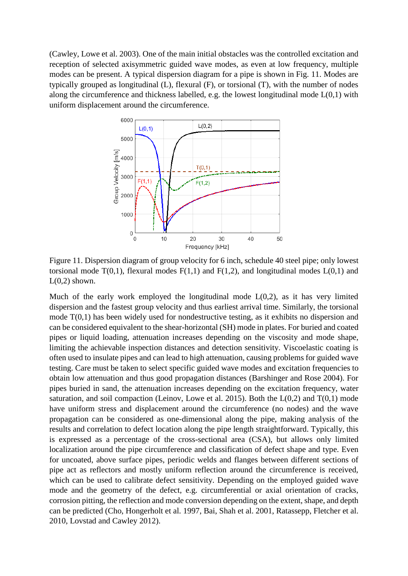(Cawley, Lowe et al. 2003). One of the main initial obstacles was the controlled excitation and reception of selected axisymmetric guided wave modes, as even at low frequency, multiple modes can be present. A typical dispersion diagram for a pipe is shown in Fig. 11. Modes are typically grouped as longitudinal (L), flexural (F), or torsional (T), with the number of nodes along the circumference and thickness labelled, e.g. the lowest longitudinal mode  $L(0,1)$  with uniform displacement around the circumference.



Figure 11. Dispersion diagram of group velocity for 6 inch, schedule 40 steel pipe; only lowest torsional mode  $T(0,1)$ , flexural modes  $F(1,1)$  and  $F(1,2)$ , and longitudinal modes  $L(0,1)$  and  $L(0,2)$  shown.

Much of the early work employed the longitudinal mode  $L(0,2)$ , as it has very limited dispersion and the fastest group velocity and thus earliest arrival time. Similarly, the torsional mode T(0,1) has been widely used for nondestructive testing, as it exhibits no dispersion and can be considered equivalent to the shear-horizontal (SH) mode in plates. For buried and coated pipes or liquid loading, attenuation increases depending on the viscosity and mode shape, limiting the achievable inspection distances and detection sensitivity. Viscoelastic coating is often used to insulate pipes and can lead to high attenuation, causing problems for guided wave testing. Care must be taken to select specific guided wave modes and excitation frequencies to obtain low attenuation and thus good propagation distances (Barshinger and Rose 2004). For pipes buried in sand, the attenuation increases depending on the excitation frequency, water saturation, and soil compaction (Leinov, Lowe et al. 2015). Both the  $L(0,2)$  and  $T(0,1)$  mode have uniform stress and displacement around the circumference (no nodes) and the wave propagation can be considered as one-dimensional along the pipe, making analysis of the results and correlation to defect location along the pipe length straightforward. Typically, this is expressed as a percentage of the cross-sectional area (CSA), but allows only limited localization around the pipe circumference and classification of defect shape and type. Even for uncoated, above surface pipes, periodic welds and flanges between different sections of pipe act as reflectors and mostly uniform reflection around the circumference is received, which can be used to calibrate defect sensitivity. Depending on the employed guided wave mode and the geometry of the defect, e.g. circumferential or axial orientation of cracks, corrosion pitting, the reflection and mode conversion depending on the extent, shape, and depth can be predicted (Cho, Hongerholt et al. 1997, Bai, Shah et al. 2001, Ratassepp, Fletcher et al. 2010, Lovstad and Cawley 2012).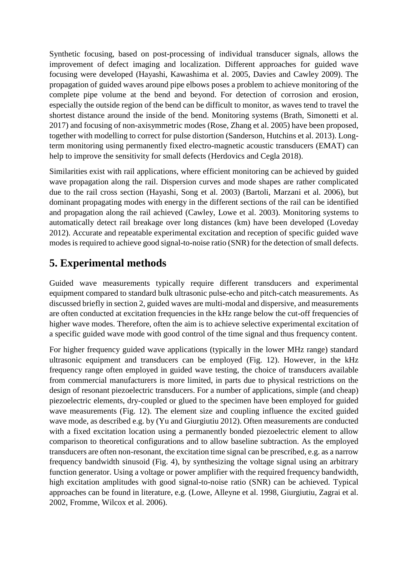Synthetic focusing, based on post-processing of individual transducer signals, allows the improvement of defect imaging and localization. Different approaches for guided wave focusing were developed (Hayashi, Kawashima et al. 2005, Davies and Cawley 2009). The propagation of guided waves around pipe elbows poses a problem to achieve monitoring of the complete pipe volume at the bend and beyond. For detection of corrosion and erosion, especially the outside region of the bend can be difficult to monitor, as waves tend to travel the shortest distance around the inside of the bend. Monitoring systems (Brath, Simonetti et al. 2017) and focusing of non-axisymmetric modes (Rose, Zhang et al. 2005) have been proposed, together with modelling to correct for pulse distortion (Sanderson, Hutchins et al. 2013). Longterm monitoring using permanently fixed electro-magnetic acoustic transducers (EMAT) can help to improve the sensitivity for small defects (Herdovics and Cegla 2018).

Similarities exist with rail applications, where efficient monitoring can be achieved by guided wave propagation along the rail. Dispersion curves and mode shapes are rather complicated due to the rail cross section (Hayashi, Song et al. 2003) (Bartoli, Marzani et al. 2006), but dominant propagating modes with energy in the different sections of the rail can be identified and propagation along the rail achieved (Cawley, Lowe et al. 2003). Monitoring systems to automatically detect rail breakage over long distances (km) have been developed (Loveday 2012). Accurate and repeatable experimental excitation and reception of specific guided wave modes is required to achieve good signal-to-noise ratio (SNR) for the detection of small defects.

# **5. Experimental methods**

Guided wave measurements typically require different transducers and experimental equipment compared to standard bulk ultrasonic pulse-echo and pitch-catch measurements. As discussed briefly in section 2, guided waves are multi-modal and dispersive, and measurements are often conducted at excitation frequencies in the kHz range below the cut-off frequencies of higher wave modes. Therefore, often the aim is to achieve selective experimental excitation of a specific guided wave mode with good control of the time signal and thus frequency content.

For higher frequency guided wave applications (typically in the lower MHz range) standard ultrasonic equipment and transducers can be employed (Fig. 12). However, in the kHz frequency range often employed in guided wave testing, the choice of transducers available from commercial manufacturers is more limited, in parts due to physical restrictions on the design of resonant piezoelectric transducers. For a number of applications, simple (and cheap) piezoelectric elements, dry-coupled or glued to the specimen have been employed for guided wave measurements (Fig. 12). The element size and coupling influence the excited guided wave mode, as described e.g. by (Yu and Giurgiutiu 2012). Often measurements are conducted with a fixed excitation location using a permanently bonded piezoelectric element to allow comparison to theoretical configurations and to allow baseline subtraction. As the employed transducers are often non-resonant, the excitation time signal can be prescribed, e.g. as a narrow frequency bandwidth sinusoid (Fig. 4), by synthesizing the voltage signal using an arbitrary function generator. Using a voltage or power amplifier with the required frequency bandwidth, high excitation amplitudes with good signal-to-noise ratio (SNR) can be achieved. Typical approaches can be found in literature, e.g. (Lowe, Alleyne et al. 1998, Giurgiutiu, Zagrai et al. 2002, Fromme, Wilcox et al. 2006).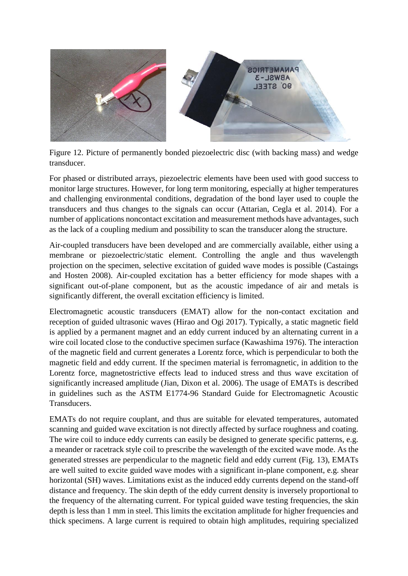

Figure 12. Picture of permanently bonded piezoelectric disc (with backing mass) and wedge transducer.

For phased or distributed arrays, piezoelectric elements have been used with good success to monitor large structures. However, for long term monitoring, especially at higher temperatures and challenging environmental conditions, degradation of the bond layer used to couple the transducers and thus changes to the signals can occur (Attarian, Cegla et al. 2014). For a number of applications noncontact excitation and measurement methods have advantages, such as the lack of a coupling medium and possibility to scan the transducer along the structure.

Air-coupled transducers have been developed and are commercially available, either using a membrane or piezoelectric/static element. Controlling the angle and thus wavelength projection on the specimen, selective excitation of guided wave modes is possible (Castaings and Hosten 2008). Air-coupled excitation has a better efficiency for mode shapes with a significant out-of-plane component, but as the acoustic impedance of air and metals is significantly different, the overall excitation efficiency is limited.

Electromagnetic acoustic transducers (EMAT) allow for the non-contact excitation and reception of guided ultrasonic waves (Hirao and Ogi 2017). Typically, a static magnetic field is applied by a permanent magnet and an eddy current induced by an alternating current in a wire coil located close to the conductive specimen surface (Kawashima 1976). The interaction of the magnetic field and current generates a Lorentz force, which is perpendicular to both the magnetic field and eddy current. If the specimen material is ferromagnetic, in addition to the Lorentz force, magnetostrictive effects lead to induced stress and thus wave excitation of significantly increased amplitude (Jian, Dixon et al. 2006). The usage of EMATs is described in guidelines such as the ASTM E1774-96 Standard Guide for Electromagnetic Acoustic Transducers.

EMATs do not require couplant, and thus are suitable for elevated temperatures, automated scanning and guided wave excitation is not directly affected by surface roughness and coating. The wire coil to induce eddy currents can easily be designed to generate specific patterns, e.g. a meander or racetrack style coil to prescribe the wavelength of the excited wave mode. As the generated stresses are perpendicular to the magnetic field and eddy current (Fig. 13), EMATs are well suited to excite guided wave modes with a significant in-plane component, e.g. shear horizontal (SH) waves. Limitations exist as the induced eddy currents depend on the stand-off distance and frequency. The skin depth of the eddy current density is inversely proportional to the frequency of the alternating current. For typical guided wave testing frequencies, the skin depth is less than 1 mm in steel. This limits the excitation amplitude for higher frequencies and thick specimens. A large current is required to obtain high amplitudes, requiring specialized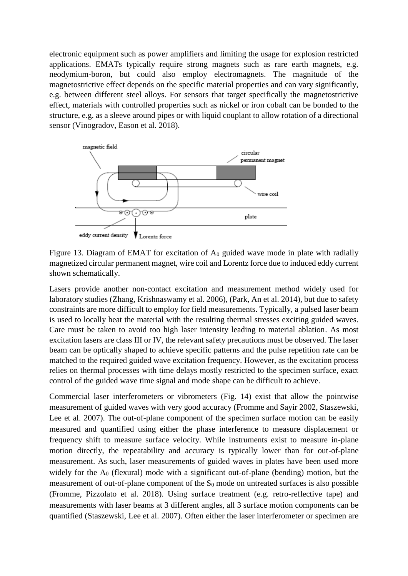electronic equipment such as power amplifiers and limiting the usage for explosion restricted applications. EMATs typically require strong magnets such as rare earth magnets, e.g. neodymium-boron, but could also employ electromagnets. The magnitude of the magnetostrictive effect depends on the specific material properties and can vary significantly, e.g. between different steel alloys. For sensors that target specifically the magnetostrictive effect, materials with controlled properties such as nickel or iron cobalt can be bonded to the structure, e.g. as a sleeve around pipes or with liquid couplant to allow rotation of a directional sensor (Vinogradov, Eason et al. 2018).



Figure 13. Diagram of EMAT for excitation of  $A_0$  guided wave mode in plate with radially magnetized circular permanent magnet, wire coil and Lorentz force due to induced eddy current shown schematically.

Lasers provide another non-contact excitation and measurement method widely used for laboratory studies (Zhang, Krishnaswamy et al. 2006), (Park, An et al. 2014), but due to safety constraints are more difficult to employ for field measurements. Typically, a pulsed laser beam is used to locally heat the material with the resulting thermal stresses exciting guided waves. Care must be taken to avoid too high laser intensity leading to material ablation. As most excitation lasers are class III or IV, the relevant safety precautions must be observed. The laser beam can be optically shaped to achieve specific patterns and the pulse repetition rate can be matched to the required guided wave excitation frequency. However, as the excitation process relies on thermal processes with time delays mostly restricted to the specimen surface, exact control of the guided wave time signal and mode shape can be difficult to achieve.

Commercial laser interferometers or vibrometers (Fig. 14) exist that allow the pointwise measurement of guided waves with very good accuracy (Fromme and Sayir 2002, Staszewski, Lee et al. 2007). The out-of-plane component of the specimen surface motion can be easily measured and quantified using either the phase interference to measure displacement or frequency shift to measure surface velocity. While instruments exist to measure in-plane motion directly, the repeatability and accuracy is typically lower than for out-of-plane measurement. As such, laser measurements of guided waves in plates have been used more widely for the A<sub>0</sub> (flexural) mode with a significant out-of-plane (bending) motion, but the measurement of out-of-plane component of the  $S_0$  mode on untreated surfaces is also possible (Fromme, Pizzolato et al. 2018). Using surface treatment (e.g. retro-reflective tape) and measurements with laser beams at 3 different angles, all 3 surface motion components can be quantified (Staszewski, Lee et al. 2007). Often either the laser interferometer or specimen are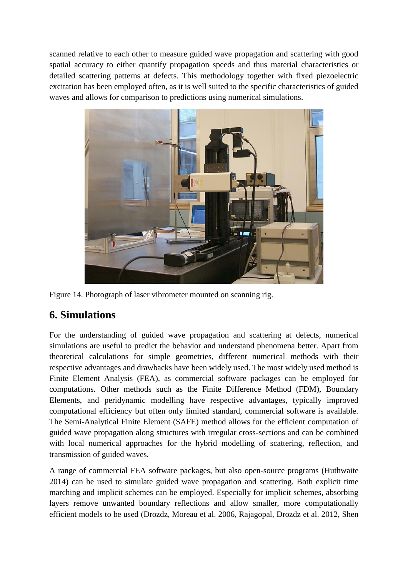scanned relative to each other to measure guided wave propagation and scattering with good spatial accuracy to either quantify propagation speeds and thus material characteristics or detailed scattering patterns at defects. This methodology together with fixed piezoelectric excitation has been employed often, as it is well suited to the specific characteristics of guided waves and allows for comparison to predictions using numerical simulations.



Figure 14. Photograph of laser vibrometer mounted on scanning rig.

# **6. Simulations**

For the understanding of guided wave propagation and scattering at defects, numerical simulations are useful to predict the behavior and understand phenomena better. Apart from theoretical calculations for simple geometries, different numerical methods with their respective advantages and drawbacks have been widely used. The most widely used method is Finite Element Analysis (FEA), as commercial software packages can be employed for computations. Other methods such as the Finite Difference Method (FDM), Boundary Elements, and peridynamic modelling have respective advantages, typically improved computational efficiency but often only limited standard, commercial software is available. The Semi-Analytical Finite Element (SAFE) method allows for the efficient computation of guided wave propagation along structures with irregular cross-sections and can be combined with local numerical approaches for the hybrid modelling of scattering, reflection, and transmission of guided waves.

A range of commercial FEA software packages, but also open-source programs (Huthwaite 2014) can be used to simulate guided wave propagation and scattering. Both explicit time marching and implicit schemes can be employed. Especially for implicit schemes, absorbing layers remove unwanted boundary reflections and allow smaller, more computationally efficient models to be used (Drozdz, Moreau et al. 2006, Rajagopal, Drozdz et al. 2012, Shen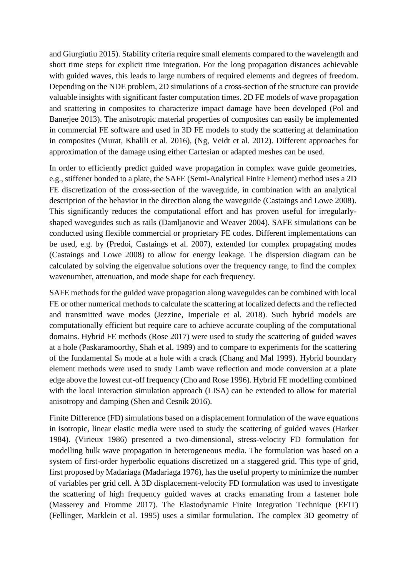and Giurgiutiu 2015). Stability criteria require small elements compared to the wavelength and short time steps for explicit time integration. For the long propagation distances achievable with guided waves, this leads to large numbers of required elements and degrees of freedom. Depending on the NDE problem, 2D simulations of a cross-section of the structure can provide valuable insights with significant faster computation times. 2D FE models of wave propagation and scattering in composites to characterize impact damage have been developed (Pol and Banerjee 2013). The anisotropic material properties of composites can easily be implemented in commercial FE software and used in 3D FE models to study the scattering at delamination in composites (Murat, Khalili et al. 2016), (Ng, Veidt et al. 2012). Different approaches for approximation of the damage using either Cartesian or adapted meshes can be used.

In order to efficiently predict guided wave propagation in complex wave guide geometries, e.g., stiffener bonded to a plate, the SAFE (Semi-Analytical Finite Element) method uses a 2D FE discretization of the cross-section of the waveguide, in combination with an analytical description of the behavior in the direction along the waveguide (Castaings and Lowe 2008). This significantly reduces the computational effort and has proven useful for irregularlyshaped waveguides such as rails (Damljanovic and Weaver 2004). SAFE simulations can be conducted using flexible commercial or proprietary FE codes. Different implementations can be used, e.g. by (Predoi, Castaings et al. 2007), extended for complex propagating modes (Castaings and Lowe 2008) to allow for energy leakage. The dispersion diagram can be calculated by solving the eigenvalue solutions over the frequency range, to find the complex wavenumber, attenuation, and mode shape for each frequency.

SAFE methods for the guided wave propagation along waveguides can be combined with local FE or other numerical methods to calculate the scattering at localized defects and the reflected and transmitted wave modes (Jezzine, Imperiale et al. 2018). Such hybrid models are computationally efficient but require care to achieve accurate coupling of the computational domains. Hybrid FE methods (Rose 2017) were used to study the scattering of guided waves at a hole (Paskaramoorthy, Shah et al. 1989) and to compare to experiments for the scattering of the fundamental  $S_0$  mode at a hole with a crack (Chang and Mal 1999). Hybrid boundary element methods were used to study Lamb wave reflection and mode conversion at a plate edge above the lowest cut-off frequency (Cho and Rose 1996). Hybrid FE modelling combined with the local interaction simulation approach (LISA) can be extended to allow for material anisotropy and damping (Shen and Cesnik 2016).

Finite Difference (FD) simulations based on a displacement formulation of the wave equations in isotropic, linear elastic media were used to study the scattering of guided waves (Harker 1984). (Virieux 1986) presented a two-dimensional, stress-velocity FD formulation for modelling bulk wave propagation in heterogeneous media. The formulation was based on a system of first-order hyperbolic equations discretized on a staggered grid. This type of grid, first proposed by Madariaga (Madariaga 1976), has the useful property to minimize the number of variables per grid cell. A 3D displacement-velocity FD formulation was used to investigate the scattering of high frequency guided waves at cracks emanating from a fastener hole (Masserey and Fromme 2017). The Elastodynamic Finite Integration Technique (EFIT) (Fellinger, Marklein et al. 1995) uses a similar formulation. The complex 3D geometry of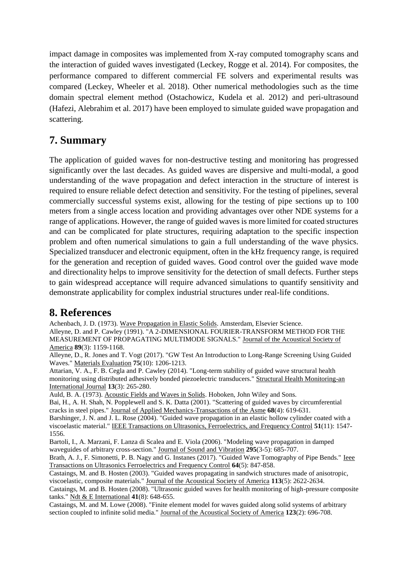impact damage in composites was implemented from X-ray computed tomography scans and the interaction of guided waves investigated (Leckey, Rogge et al. 2014). For composites, the performance compared to different commercial FE solvers and experimental results was compared (Leckey, Wheeler et al. 2018). Other numerical methodologies such as the time domain spectral element method (Ostachowicz, Kudela et al. 2012) and peri-ultrasound (Hafezi, Alebrahim et al. 2017) have been employed to simulate guided wave propagation and scattering.

### **7. Summary**

The application of guided waves for non-destructive testing and monitoring has progressed significantly over the last decades. As guided waves are dispersive and multi-modal, a good understanding of the wave propagation and defect interaction in the structure of interest is required to ensure reliable defect detection and sensitivity. For the testing of pipelines, several commercially successful systems exist, allowing for the testing of pipe sections up to 100 meters from a single access location and providing advantages over other NDE systems for a range of applications. However, the range of guided waves is more limited for coated structures and can be complicated for plate structures, requiring adaptation to the specific inspection problem and often numerical simulations to gain a full understanding of the wave physics. Specialized transducer and electronic equipment, often in the kHz frequency range, is required for the generation and reception of guided waves. Good control over the guided wave mode and directionality helps to improve sensitivity for the detection of small defects. Further steps to gain widespread acceptance will require advanced simulations to quantify sensitivity and demonstrate applicability for complex industrial structures under real-life conditions.

## **8. References**

Achenbach, J. D. (1973). Wave Propagation in Elastic Solids. Amsterdam, Elsevier Science. Alleyne, D. and P. Cawley (1991). "A 2-DIMENSIONAL FOURIER-TRANSFORM METHOD FOR THE MEASUREMENT OF PROPAGATING MULTIMODE SIGNALS." Journal of the Acoustical Society of America **89**(3): 1159-1168.

Alleyne, D., R. Jones and T. Vogt (2017). "GW Test An Introduction to Long-Range Screening Using Guided Waves." Materials Evaluation **75**(10): 1206-1213.

Attarian, V. A., F. B. Cegla and P. Cawley (2014). "Long-term stability of guided wave structural health monitoring using distributed adhesively bonded piezoelectric transducers." Structural Health Monitoring-an International Journal **13**(3): 265-280.

Auld, B. A. (1973). Acoustic Fields and Waves in Solids. Hoboken, John Wiley and Sons.

Bai, H., A. H. Shah, N. Popplewell and S. K. Datta (2001). "Scattering of guided waves by circumferential cracks in steel pipes." Journal of Applied Mechanics-Transactions of the Asme **68**(4): 619-631.

Barshinger, J. N. and J. L. Rose (2004). "Guided wave propagation in an elastic hollow cylinder coated with a viscoelastic material." IEEE Transactions on Ultrasonics, Ferroelectrics, and Frequency Control **51**(11): 1547- 1556.

Bartoli, I., A. Marzani, F. Lanza di Scalea and E. Viola (2006). "Modeling wave propagation in damped waveguides of arbitrary cross-section." Journal of Sound and Vibration **295**(3-5): 685-707.

Brath, A. J., F. Simonetti, P. B. Nagy and G. Instanes (2017). "Guided Wave Tomography of Pipe Bends." Ieee Transactions on Ultrasonics Ferroelectrics and Frequency Control **64**(5): 847-858.

Castaings, M. and B. Hosten (2003). "Guided waves propagating in sandwich structures made of anisotropic, viscoelastic, composite materials." Journal of the Acoustical Society of America **113**(5): 2622-2634.

Castaings, M. and B. Hosten (2008). "Ultrasonic guided waves for health monitoring of high-pressure composite tanks." Ndt & E International **41**(8): 648-655.

Castaings, M. and M. Lowe (2008). "Finite element model for waves guided along solid systems of arbitrary section coupled to infinite solid media." Journal of the Acoustical Society of America **123**(2): 696-708.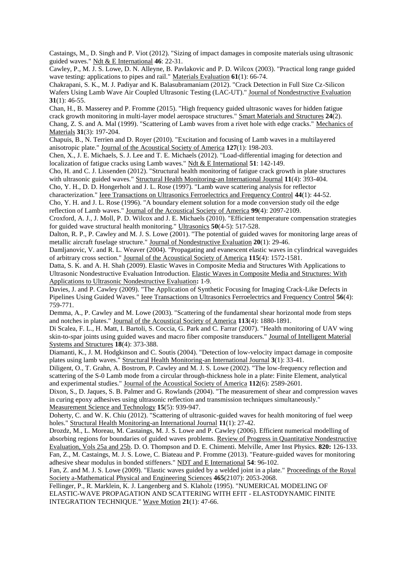Castaings, M., D. Singh and P. Viot (2012). "Sizing of impact damages in composite materials using ultrasonic guided waves." Ndt & E International **46**: 22-31.

Cawley, P., M. J. S. Lowe, D. N. Alleyne, B. Pavlakovic and P. D. Wilcox (2003). "Practical long range guided wave testing: applications to pipes and rail." Materials Evaluation **61**(1): 66-74.

Chakrapani, S. K., M. J. Padiyar and K. Balasubramaniam (2012). "Crack Detection in Full Size Cz-Silicon Wafers Using Lamb Wave Air Coupled Ultrasonic Testing (LAC-UT)." Journal of Nondestructive Evaluation **31**(1): 46-55.

Chan, H., B. Masserey and P. Fromme (2015). "High frequency guided ultrasonic waves for hidden fatigue crack growth monitoring in multi-layer model aerospace structures." Smart Materials and Structures **24**(2). Chang, Z. S. and A. Mal (1999). "Scattering of Lamb waves from a rivet hole with edge cracks." Mechanics of Materials **31**(3): 197-204.

Chapuis, B., N. Terrien and D. Royer (2010). "Excitation and focusing of Lamb waves in a multilayered anisotropic plate." Journal of the Acoustical Society of America **127**(1): 198-203.

Chen, X., J. E. Michaels, S. J. Lee and T. E. Michaels (2012). "Load-differential imaging for detection and localization of fatigue cracks using Lamb waves." Ndt & E International **51**: 142-149.

Cho, H. and C. J. Lissenden (2012). "Structural health monitoring of fatigue crack growth in plate structures with ultrasonic guided waves." Structural Health Monitoring-an International Journal **11**(4): 393-404.

Cho, Y. H., D. D. Hongerholt and J. L. Rose (1997). "Lamb wave scattering analysis for reflector

characterization." Ieee Transactions on Ultrasonics Ferroelectrics and Frequency Control **44**(1): 44-52. Cho, Y. H. and J. L. Rose (1996). "A boundary element solution for a mode conversion study oil the edge

reflection of Lamb waves." Journal of the Acoustical Society of America **99**(4): 2097-2109.

Croxford, A. J., J. Moll, P. D. Wilcox and J. E. Michaels (2010). "Efficient temperature compensation strategies for guided wave structural health monitoring." Ultrasonics **50**(4-5): 517-528.

Dalton, R. P., P. Cawley and M. J. S. Lowe (2001). "The potential of guided waves for monitoring large areas of metallic aircraft fuselage structure." Journal of Nondestructive Evaluation **20**(1): 29-46.

Damljanovic, V. and R. L. Weaver (2004). "Propagating and evanescent elastic waves in cylindrical waveguides of arbitrary cross section." Journal of the Acoustical Society of America **115**(4): 1572-1581.

Datta, S. K. and A. H. Shah (2009). Elastic Waves in Composite Media and Structures With Applications to Ultrasonic Nondestructive Evaluation Introduction. Elastic Waves in Composite Media and Structures: With Applications to Ultrasonic Nondestructive Evaluation**:** 1-9.

Davies, J. and P. Cawley (2009). "The Application of Synthetic Focusing for Imaging Crack-Like Defects in Pipelines Using Guided Waves." Ieee Transactions on Ultrasonics Ferroelectrics and Frequency Control **56**(4): 759-771.

Demma, A., P. Cawley and M. Lowe (2003). "Scattering of the fundamental shear horizontal mode from steps and notches in plates." Journal of the Acoustical Society of America **113**(4): 1880-1891.

Di Scalea, F. L., H. Matt, I. Bartoli, S. Coccia, G. Park and C. Farrar (2007). "Health monitoring of UAV wing skin-to-spar joints using guided waves and macro fiber composite transducers." Journal of Intelligent Material Systems and Structures **18**(4): 373-388.

Diamanti, K., J. M. Hodgkinson and C. Soutis (2004). "Detection of low-velocity impact damage in composite plates using lamb waves." Structural Health Monitoring-an International Journal **3**(1): 33-41.

Diligent, O., T. Grahn, A. Bostrom, P. Cawley and M. J. S. Lowe (2002). "The low-frequency reflection and scattering of the S-0 Lamb mode from a circular through-thickness hole in a plate: Finite Element, analytical and experimental studies." Journal of the Acoustical Society of America **112**(6): 2589-2601.

Dixon, S., D. Jaques, S. B. Palmer and G. Rowlands (2004). "The measurement of shear and compression waves in curing epoxy adhesives using ultrasonic reflection and transmission techniques simultaneously." Measurement Science and Technology **15**(5): 939-947.

Doherty, C. and W. K. Chiu (2012). "Scattering of ultrasonic-guided waves for health monitoring of fuel weep holes." Structural Health Monitoring-an International Journal **11**(1): 27-42.

Drozdz, M., L. Moreau, M. Castaings, M. J. S. Lowe and P. Cawley (2006). Efficient numerical modelling of absorbing regions for boundaries of guided waves problems. Review of Progress in Quantitative Nondestructive Evaluation, Vols 25a and 25b. D. O. Thompson and D. E. Chimenti. Melville, Amer Inst Physics. **820:** 126-133. Fan, Z., M. Castaings, M. J. S. Lowe, C. Biateau and P. Fromme (2013). "Feature-guided waves for monitoring adhesive shear modulus in bonded stiffeners." NDT and E International **54**: 96-102.

Fan, Z. and M. J. S. Lowe (2009). "Elastic waves guided by a welded joint in a plate." Proceedings of the Royal Society a-Mathematical Physical and Engineering Sciences **465**(2107): 2053-2068.

Fellinger, P., R. Marklein, K. J. Langenberg and S. Klaholz (1995). "NUMERICAL MODELING OF ELASTIC-WAVE PROPAGATION AND SCATTERING WITH EFIT - ELASTODYNAMIC FINITE INTEGRATION TECHNIQUE." Wave Motion **21**(1): 47-66.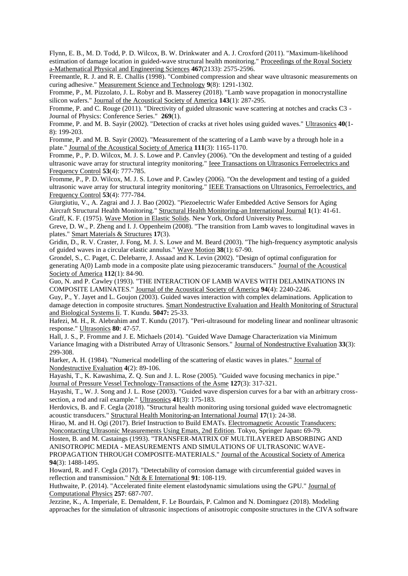Flynn, E. B., M. D. Todd, P. D. Wilcox, B. W. Drinkwater and A. J. Croxford (2011). "Maximum-likelihood estimation of damage location in guided-wave structural health monitoring." Proceedings of the Royal Society a-Mathematical Physical and Engineering Sciences **467**(2133): 2575-2596.

Freemantle, R. J. and R. E. Challis (1998). "Combined compression and shear wave ultrasonic measurements on curing adhesive." Measurement Science and Technology **9**(8): 1291-1302.

Fromme, P., M. Pizzolato, J. L. Robyr and B. Masserey (2018). "Lamb wave propagation in monocrystalline silicon wafers." Journal of the Acoustical Society of America **143**(1): 287-295.

Fromme, P. and C. Rouge (2011). "Directivity of guided ultrasonic wave scattering at notches and cracks C3 - Journal of Physics: Conference Series." **269**(1).

Fromme, P. and M. B. Sayir (2002). "Detection of cracks at rivet holes using guided waves." Ultrasonics **40**(1- 8): 199-203.

Fromme, P. and M. B. Sayir (2002). "Measurement of the scattering of a Lamb wave by a through hole in a plate." Journal of the Acoustical Society of America **111**(3): 1165-1170.

Fromme, P., P. D. Wilcox, M. J. S. Lowe and P. Canvley (2006). "On the development and testing of a guided ultrasonic wave array for structural integrity monitoring." Ieee Transactions on Ultrasonics Ferroelectrics and Frequency Control **53**(4): 777-785.

Fromme, P., P. D. Wilcox, M. J. S. Lowe and P. Cawley (2006). "On the development and testing of a guided ultrasonic wave array for structural integrity monitoring." IEEE Transactions on Ultrasonics, Ferroelectrics, and Frequency Control **53**(4): 777-784.

Giurgiutiu, V., A. Zagrai and J. J. Bao (2002). "Piezoelectric Wafer Embedded Active Sensors for Aging Aircraft Structural Health Monitoring." Structural Health Monitoring-an International Journal **1**(1): 41-61. Graff, K. F. (1975). Wave Motion in Elastic Solids. New York, Oxford University Press.

Greve, D. W., P. Zheng and I. J. Oppenheim (2008). "The transition from Lamb waves to longitudinal waves in plates." Smart Materials & Structures **17**(3).

Gridin, D., R. V. Craster, J. Fong, M. J. S. Lowe and M. Beard (2003). "The high-frequency asymptotic analysis of guided waves in a circular elastic annulus." Wave Motion **38**(1): 67-90.

Grondel, S., C. Paget, C. Delebarre, J. Assaad and K. Levin (2002). "Design of optimal configuration for generating A(0) Lamb mode in a composite plate using piezoceramic transducers." Journal of the Acoustical Society of America **112**(1): 84-90.

Guo, N. and P. Cawley (1993). "THE INTERACTION OF LAMB WAVES WITH DELAMINATIONS IN COMPOSITE LAMINATES." Journal of the Acoustical Society of America **94**(4): 2240-2246.

Guy, P., Y. Jayet and L. Goujon (2003). Guided waves interaction with complex delaminations. Application to damage detection in composite structures. Smart Nondestructive Evaluation and Health Monitoring of Structural and Biological Systems Ii. T. Kundu. **5047:** 25-33.

Hafezi, M. H., R. Alebrahim and T. Kundu (2017). "Peri-ultrasound for modeling linear and nonlinear ultrasonic response." Ultrasonics **80**: 47-57.

Hall, J. S., P. Fromme and J. E. Michaels (2014). "Guided Wave Damage Characterization via Minimum Variance Imaging with a Distributed Array of Ultrasonic Sensors." Journal of Nondestructive Evaluation **33**(3): 299-308.

Harker, A. H. (1984). "Numerical modelling of the scattering of elastic waves in plates." Journal of Nondestructive Evaluation **4**(2): 89-106.

Hayashi, T., K. Kawashima, Z. Q. Sun and J. L. Rose (2005). "Guided wave focusing mechanics in pipe." Journal of Pressure Vessel Technology-Transactions of the Asme **127**(3): 317-321.

Hayashi, T., W. J. Song and J. L. Rose (2003). "Guided wave dispersion curves for a bar with an arbitrary crosssection, a rod and rail example." Ultrasonics **41**(3): 175-183.

Herdovics, B. and F. Cegla (2018). "Structural health monitoring using torsional guided wave electromagnetic acoustic transducers." Structural Health Monitoring-an International Journal **17**(1): 24-38.

Hirao, M. and H. Ogi (2017). Brief Instruction to Build EMATs. Electromagnetic Acoustic Transducers: Noncontacting Ultrasonic Measurements Using Emats, 2nd Edition. Tokyo, Springer Japan**:** 69-79.

Hosten, B. and M. Castaings (1993). "TRANSFER-MATRIX OF MULTILAYERED ABSORBING AND ANISOTROPIC MEDIA - MEASUREMENTS AND SIMULATIONS OF ULTRASONIC WAVE-PROPAGATION THROUGH COMPOSITE-MATERIALS." Journal of the Acoustical Society of America **94**(3): 1488-1495.

Howard, R. and F. Cegla (2017). "Detectability of corrosion damage with circumferential guided waves in reflection and transmission." Ndt & E International **91**: 108-119.

Huthwaite, P. (2014). "Accelerated finite element elastodynamic simulations using the GPU." Journal of Computational Physics **257**: 687-707.

Jezzine, K., A. Imperiale, E. Demaldent, F. Le Bourdais, P. Calmon and N. Dominguez (2018). Modeling approaches for the simulation of ultrasonic inspections of anisotropic composite structures in the CIVA software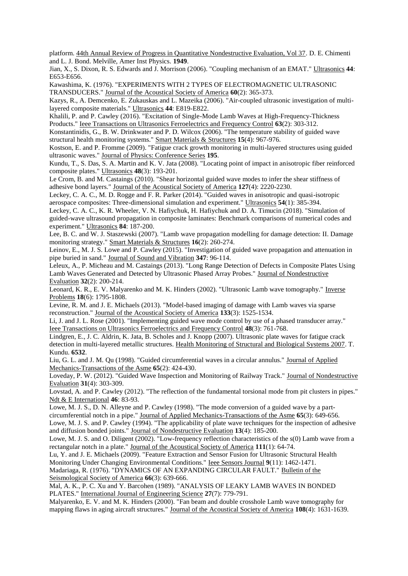platform. 44th Annual Review of Progress in Quantitative Nondestructive Evaluation, Vol 37. D. E. Chimenti and L. J. Bond. Melville, Amer Inst Physics. **1949**.

Jian, X., S. Dixon, R. S. Edwards and J. Morrison (2006). "Coupling mechanism of an EMAT." Ultrasonics **44**: E653-E656.

Kawashima, K. (1976). "EXPERIMENTS WITH 2 TYPES OF ELECTROMAGNETIC ULTRASONIC TRANSDUCERS." Journal of the Acoustical Society of America **60**(2): 365-373.

Kazys, R., A. Demcenko, E. Zukauskas and L. Mazeika (2006). "Air-coupled ultrasonic investigation of multilayered composite materials." Ultrasonics **44**: E819-E822.

Khalili, P. and P. Cawley (2016). "Excitation of Single-Mode Lamb Waves at High-Frequency-Thickness Products." Ieee Transactions on Ultrasonics Ferroelectrics and Frequency Control **63**(2): 303-312.

Konstantinidis, G., B. W. Drinkwater and P. D. Wilcox (2006). "The temperature stability of guided wave structural health monitoring systems." Smart Materials & Structures **15**(4): 967-976.

Kostson, E. and P. Fromme (2009). "Fatigue crack growth monitoring in multi-layered structures using guided ultrasonic waves." Journal of Physics: Conference Series **195**.

Kundu, T., S. Das, S. A. Martin and K. V. Jata (2008). "Locating point of impact in anisotropic fiber reinforced composite plates." Ultrasonics **48**(3): 193-201.

Le Crom, B. and M. Castaings (2010). "Shear horizontal guided wave modes to infer the shear stiffness of adhesive bond layers." Journal of the Acoustical Society of America **127**(4): 2220-2230.

Leckey, C. A. C., M. D. Rogge and F. R. Parker (2014). "Guided waves in anisotropic and quasi-isotropic aerospace composites: Three-dimensional simulation and experiment." Ultrasonics **54**(1): 385-394.

Leckey, C. A. C., K. R. Wheeler, V. N. Hafiychuk, H. Hafiychuk and D. A. Timucin (2018). "Simulation of guided-wave ultrasound propagation in composite laminates: Benchmark comparisons of numerical codes and experiment." Ultrasonics **84**: 187-200.

Lee, B. C. and W. J. Staszewski (2007). "Lamb wave propagation modelling for damage detection: II. Damage monitoring strategy." Smart Materials & Structures **16**(2): 260-274.

Leinov, E., M. J. S. Lowe and P. Cawley (2015). "Investigation of guided wave propagation and attenuation in pipe buried in sand." Journal of Sound and Vibration **347**: 96-114.

Leleux, A., P. Micheau and M. Castaings (2013). "Long Range Detection of Defects in Composite Plates Using Lamb Waves Generated and Detected by Ultrasonic Phased Array Probes." Journal of Nondestructive Evaluation **32**(2): 200-214.

Leonard, K. R., E. V. Malyarenko and M. K. Hinders (2002). "Ultrasonic Lamb wave tomography." Inverse Problems **18**(6): 1795-1808.

Levine, R. M. and J. E. Michaels (2013). "Model-based imaging of damage with Lamb waves via sparse reconstruction." Journal of the Acoustical Society of America **133**(3): 1525-1534.

Li, J. and J. L. Rose (2001). "Implementing guided wave mode control by use of a phased transducer array." Ieee Transactions on Ultrasonics Ferroelectrics and Frequency Control **48**(3): 761-768.

Lindgren, E., J. C. Aldrin, K. Jata, B. Scholes and J. Knopp (2007). Ultrasonic plate waves for fatigue crack detection in multi-layered metallic structures. Health Monitoring of Structural and Biological Systems 2007. T. Kundu. **6532**.

Liu, G. L. and J. M. Qu (1998). "Guided circumferential waves in a circular annulus." Journal of Applied Mechanics-Transactions of the Asme **65**(2): 424-430.

Loveday, P. W. (2012). "Guided Wave Inspection and Monitoring of Railway Track." Journal of Nondestructive Evaluation **31**(4): 303-309.

Lovstad, A. and P. Cawley (2012). "The reflection of the fundamental torsional mode from pit clusters in pipes." Ndt & E International **46**: 83-93.

Lowe, M. J. S., D. N. Alleyne and P. Cawley (1998). "The mode conversion of a guided wave by a partcircumferential notch in a pipe." Journal of Applied Mechanics-Transactions of the Asme **65**(3): 649-656. Lowe, M. J. S. and P. Cawley (1994). "The applicability of plate wave techniques for the inspection of adhesive and diffusion bonded joints." Journal of Nondestructive Evaluation **13**(4): 185-200.

Lowe, M. J. S. and O. Diligent (2002). "Low-frequency reflection characteristics of the s(0) Lamb wave from a rectangular notch in a plate." Journal of the Acoustical Society of America **111**(1): 64-74.

Lu, Y. and J. E. Michaels (2009). "Feature Extraction and Sensor Fusion for Ultrasonic Structural Health Monitoring Under Changing Environmental Conditions." Ieee Sensors Journal **9**(11): 1462-1471.

Madariaga, R. (1976). "DYNAMICS OF AN EXPANDING CIRCULAR FAULT." Bulletin of the Seismological Society of America **66**(3): 639-666.

Mal, A. K., P. C. Xu and Y. Barcohen (1989). "ANALYSIS OF LEAKY LAMB WAVES IN BONDED PLATES." International Journal of Engineering Science **27**(7): 779-791.

Malyarenko, E. V. and M. K. Hinders (2000). "Fan beam and double crosshole Lamb wave tomography for mapping flaws in aging aircraft structures." Journal of the Acoustical Society of America **108**(4): 1631-1639.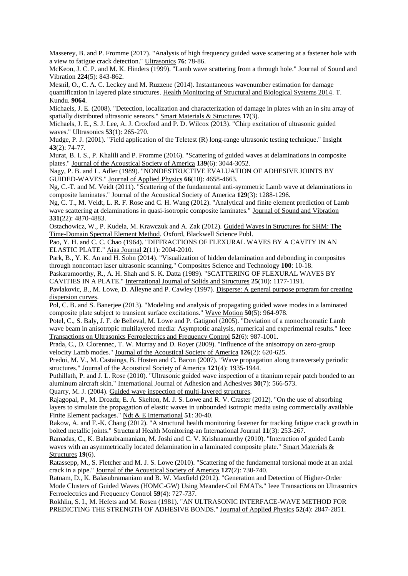Masserey, B. and P. Fromme (2017). "Analysis of high frequency guided wave scattering at a fastener hole with a view to fatigue crack detection." Ultrasonics **76**: 78-86.

McKeon, J. C. P. and M. K. Hinders (1999). "Lamb wave scattering from a through hole." Journal of Sound and Vibration **224**(5): 843-862.

Mesnil, O., C. A. C. Leckey and M. Ruzzene (2014). Instantaneous wavenumber estimation for damage quantification in layered plate structures. Health Monitoring of Structural and Biological Systems 2014. T. Kundu. **9064**.

Michaels, J. E. (2008). "Detection, localization and characterization of damage in plates with an in situ array of spatially distributed ultrasonic sensors." Smart Materials & Structures **17**(3).

Michaels, J. E., S. J. Lee, A. J. Croxford and P. D. Wilcox (2013). "Chirp excitation of ultrasonic guided waves." Ultrasonics **53**(1): 265-270.

Mudge, P. J. (2001). "Field application of the Teletest (R) long-range ultrasonic testing technique." Insight **43**(2): 74-77.

Murat, B. I. S., P. Khalili and P. Fromme (2016). "Scattering of guided waves at delaminations in composite plates." Journal of the Acoustical Society of America **139**(6): 3044-3052.

Nagy, P. B. and L. Adler (1989). "NONDESTRUCTIVE EVALUATION OF ADHESIVE JOINTS BY GUIDED-WAVES." Journal of Applied Physics **66**(10): 4658-4663.

Ng, C.-T. and M. Veidt (2011). "Scattering of the fundamental anti-symmetric Lamb wave at delaminations in composite laminates." Journal of the Acoustical Society of America **129**(3): 1288-1296.

Ng, C. T., M. Veidt, L. R. F. Rose and C. H. Wang (2012). "Analytical and finite element prediction of Lamb wave scattering at delaminations in quasi-isotropic composite laminates." Journal of Sound and Vibration **331**(22): 4870-4883.

Ostachowicz, W., P. Kudela, M. Krawczuk and A. Zak (2012). Guided Waves in Structures for SHM: The Time-Domain Spectral Element Method. Oxford, Blackwell Science Publ.

Pao, Y. H. and C. C. Chao (1964). "DIFFRACTIONS OF FLEXURAL WAVES BY A CAVITY IN AN ELASTIC PLATE." Aiaa Journal **2**(11): 2004-2010.

Park, B., Y. K. An and H. Sohn (2014). "Visualization of hidden delamination and debonding in composites through noncontact laser ultrasonic scanning." Composites Science and Technology **100**: 10-18.

Paskaramoorthy, R., A. H. Shah and S. K. Datta (1989). "SCATTERING OF FLEXURAL WAVES BY CAVITIES IN A PLATE." International Journal of Solids and Structures **25**(10): 1177-1191.

Pavlakovic, B., M. Lowe, D. Alleyne and P. Cawley (1997). Disperse: A general purpose program for creating dispersion curves.

Pol, C. B. and S. Banerjee (2013). "Modeling and analysis of propagating guided wave modes in a laminated composite plate subject to transient surface excitations." Wave Motion **50**(5): 964-978.

Potel, C., S. Baly, J. F. de Belleval, M. Lowe and P. Gatignol (2005). "Deviation of a monochromatic Lamb wave beam in anisotropic multilayered media: Asymptotic analysis, numerical and experimental results." Ieee Transactions on Ultrasonics Ferroelectrics and Frequency Control **52**(6): 987-1001.

Prada, C., D. Clorennec, T. W. Murray and D. Royer (2009). "Influence of the anisotropy on zero-group velocity Lamb modes." Journal of the Acoustical Society of America **126**(2): 620-625.

Predoi, M. V., M. Castaings, B. Hosten and C. Bacon (2007). "Wave propagation along transversely periodic structures." Journal of the Acoustical Society of America **121**(4): 1935-1944.

Puthillath, P. and J. L. Rose (2010). "Ultrasonic guided wave inspection of a titanium repair patch bonded to an aluminum aircraft skin." International Journal of Adhesion and Adhesives **30**(7): 566-573.

Quarry, M. J. (2004). Guided wave inspection of multi-layered structures.

Rajagopal, P., M. Drozdz, E. A. Skelton, M. J. S. Lowe and R. V. Craster (2012). "On the use of absorbing layers to simulate the propagation of elastic waves in unbounded isotropic media using commercially available Finite Element packages." Ndt & E International **51**: 30-40.

Rakow, A. and F.-K. Chang (2012). "A structural health monitoring fastener for tracking fatigue crack growth in bolted metallic joints." Structural Health Monitoring-an International Journal **11**(3): 253-267.

Ramadas, C., K. Balasubramaniam, M. Joshi and C. V. Krishnamurthy (2010). "Interaction of guided Lamb waves with an asymmetrically located delamination in a laminated composite plate." Smart Materials & Structures **19**(6).

Ratassepp, M., S. Fletcher and M. J. S. Lowe (2010). "Scattering of the fundamental torsional mode at an axial crack in a pipe." Journal of the Acoustical Society of America **127**(2): 730-740.

Ratnam, D., K. Balasubramaniam and B. W. Maxfield (2012). "Generation and Detection of Higher-Order Mode Clusters of Guided Waves (HOMC-GW) Using Meander-Coil EMATs." Ieee Transactions on Ultrasonics Ferroelectrics and Frequency Control **59**(4): 727-737.

Rokhlin, S. I., M. Hefets and M. Rosen (1981). "AN ULTRASONIC INTERFACE-WAVE METHOD FOR PREDICTING THE STRENGTH OF ADHESIVE BONDS." Journal of Applied Physics **52**(4): 2847-2851.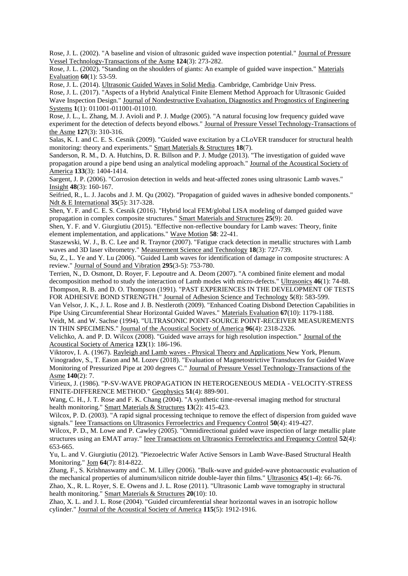Rose, J. L. (2002). "A baseline and vision of ultrasonic guided wave inspection potential." Journal of Pressure Vessel Technology-Transactions of the Asme **124**(3): 273-282.

Rose, J. L. (2002). "Standing on the shoulders of giants: An example of guided wave inspection." Materials Evaluation **60**(1): 53-59.

Rose, J. L. (2014). Ultrasonic Guided Waves in Solid Media. Cambridge, Cambridge Univ Press.

Rose, J. L. (2017). "Aspects of a Hybrid Analytical Finite Element Method Approach for Ultrasonic Guided Wave Inspection Design." Journal of Nondestructive Evaluation, Diagnostics and Prognostics of Engineering Systems **1**(1): 011001-011001-011010.

Rose, J. L., L. Zhang, M. J. Avioli and P. J. Mudge (2005). "A natural focusing low frequency guided wave experiment for the detection of defects beyond elbows." Journal of Pressure Vessel Technology-Transactions of the Asme **127**(3): 310-316.

Salas, K. I. and C. E. S. Cesnik (2009). "Guided wave excitation by a CLoVER transducer for structural health monitoring: theory and experiments." Smart Materials & Structures **18**(7).

Sanderson, R. M., D. A. Hutchins, D. R. Billson and P. J. Mudge (2013). "The investigation of guided wave propagation around a pipe bend using an analytical modeling approach." Journal of the Acoustical Society of America **133**(3): 1404-1414.

Sargent, J. P. (2006). "Corrosion detection in welds and heat-affected zones using ultrasonic Lamb waves." Insight **48**(3): 160-167.

Seifried, R., L. J. Jacobs and J. M. Qu (2002). "Propagation of guided waves in adhesive bonded components." Ndt & E International **35**(5): 317-328.

Shen, Y. F. and C. E. S. Cesnik (2016). "Hybrid local FEM/global LISA modeling of damped guided wave propagation in complex composite structures." Smart Materials and Structures **25**(9): 20.

Shen, Y. F. and V. Giurgiutiu (2015). "Effective non-reflective boundary for Lamb waves: Theory, finite element implementation, and applications." Wave Motion **58**: 22-41.

Staszewski, W. J., B. C. Lee and R. Traynor (2007). "Fatigue crack detection in metallic structures with Lamb waves and 3D laser vibrometry." Measurement Science and Technology **18**(3): 727-739.

Su, Z., L. Ye and Y. Lu (2006). "Guided Lamb waves for identification of damage in composite structures: A review." Journal of Sound and Vibration **295**(3-5): 753-780.

Terrien, N., D. Osmont, D. Royer, F. Lepoutre and A. Deom (2007). "A combined finite element and modal decomposition method to study the interaction of Lamb modes with micro-defects." Ultrasonics **46**(1): 74-88. Thompson, R. B. and D. O. Thompson (1991). "PAST EXPERIENCES IN THE DEVELOPMENT OF TESTS FOR ADHESIVE BOND STRENGTH." Journal of Adhesion Science and Technology **5**(8): 583-599.

Van Velsor, J. K., J. L. Rose and J. B. Nestleroth (2009). "Enhanced Coating Disbond Detection Capabilities in Pipe Using Circumferential Shear Horizontal Guided Waves." Materials Evaluation **67**(10): 1179-1188.

Veidt, M. and W. Sachse (1994). "ULTRASONIC POINT-SOURCE POINT-RECEIVER MEASUREMENTS IN THIN SPECIMENS." Journal of the Acoustical Society of America **96**(4): 2318-2326.

Velichko, A. and P. D. Wilcox (2008). "Guided wave arrays for high resolution inspection." Journal of the Acoustical Society of America **123**(1): 186-196.

Viktorov, I. A. (1967). Rayleigh and Lamb waves - Physical Theory and Applications New York, Plenum. Vinogradov, S., T. Eason and M. Lozev (2018). "Evaluation of Magnetostrictive Transducers for Guided Wave Monitoring of Pressurized Pipe at 200 degrees C." Journal of Pressure Vessel Technology-Transactions of the Asme **140**(2): 7.

Virieux, J. (1986). "P-SV-WAVE PROPAGATION IN HETEROGENEOUS MEDIA - VELOCITY-STRESS FINITE-DIFFERENCE METHOD." Geophysics **51**(4): 889-901.

Wang, C. H., J. T. Rose and F. K. Chang (2004). "A synthetic time-reversal imaging method for structural health monitoring." Smart Materials & Structures **13**(2): 415-423.

Wilcox, P. D. (2003). "A rapid signal processing technique to remove the effect of dispersion from guided wave signals." Ieee Transactions on Ultrasonics Ferroelectrics and Frequency Control **50**(4): 419-427.

Wilcox, P. D., M. Lowe and P. Cawley (2005). "Omnidirectional guided wave inspection of large metallic plate structures using an EMAT array." Ieee Transactions on Ultrasonics Ferroelectrics and Frequency Control **52**(4): 653-665.

Yu, L. and V. Giurgiutiu (2012). "Piezoelectric Wafer Active Sensors in Lamb Wave-Based Structural Health Monitoring." Jom **64**(7): 814-822.

Zhang, F., S. Krishnaswamy and C. M. Lilley (2006). "Bulk-wave and guided-wave photoacoustic evaluation of the mechanical properties of aluminum/silicon nitride double-layer thin films." Ultrasonics **45**(1-4): 66-76. Zhao, X., R. L. Royer, S. E. Owens and J. L. Rose (2011). "Ultrasonic Lamb wave tomography in structural health monitoring." Smart Materials & Structures **20**(10): 10.

Zhao, X. L. and J. L. Rose (2004). "Guided circumferential shear horizontal waves in an isotropic hollow cylinder." Journal of the Acoustical Society of America **115**(5): 1912-1916.